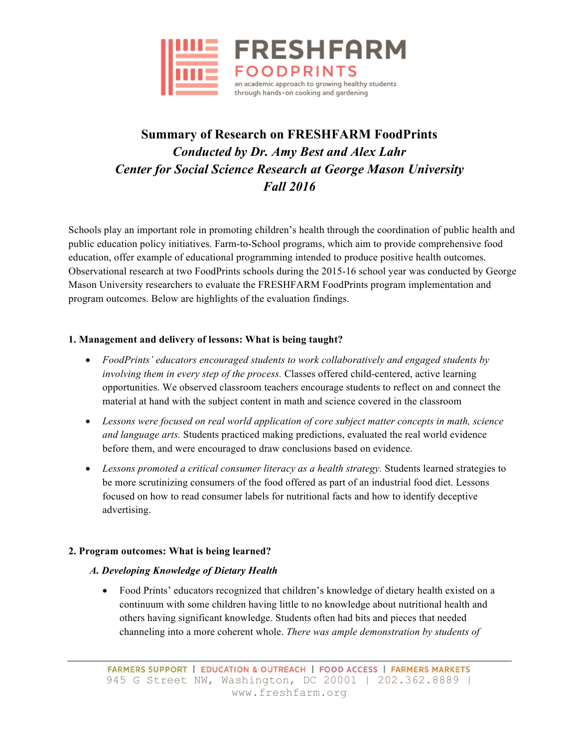

# **Summary of Research on FRESHFARM FoodPrints** *Conducted by Dr. Amy Best and Alex Lahr Center for Social Science Research at George Mason University Fall 2016*

Schools play an important role in promoting children's health through the coordination of public health and public education policy initiatives. Farm-to-School programs, which aim to provide comprehensive food education, offer example of educational programming intended to produce positive health outcomes. Observational research at two FoodPrints schools during the 2015-16 school year was conducted by George Mason University researchers to evaluate the FRESHFARM FoodPrints program implementation and program outcomes. Below are highlights of the evaluation findings.

# **1. Management and delivery of lessons: What is being taught?**

- *FoodPrints' educators encouraged students to work collaboratively and engaged students by involving them in every step of the process.* Classes offered child-centered, active learning opportunities. We observed classroom teachers encourage students to reflect on and connect the material at hand with the subject content in math and science covered in the classroom
- *Lessons were focused on real world application of core subject matter concepts in math, science and language arts.* Students practiced making predictions, evaluated the real world evidence before them, and were encouraged to draw conclusions based on evidence.
- *Lessons promoted a critical consumer literacy as a health strategy.* Students learned strategies to be more scrutinizing consumers of the food offered as part of an industrial food diet. Lessons focused on how to read consumer labels for nutritional facts and how to identify deceptive advertising.

# **2. Program outcomes: What is being learned?**

# *A. Developing Knowledge of Dietary Health*

• Food Prints' educators recognized that children's knowledge of dietary health existed on a continuum with some children having little to no knowledge about nutritional health and others having significant knowledge. Students often had bits and pieces that needed channeling into a more coherent whole. *There was ample demonstration by students of*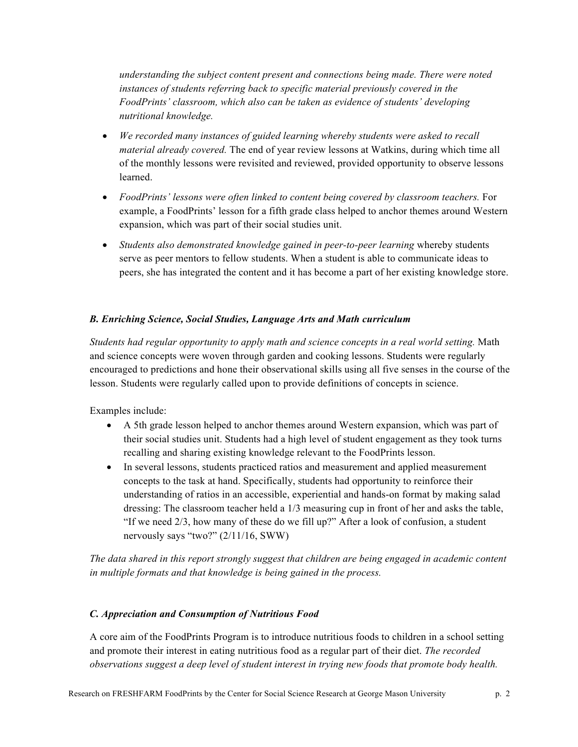*understanding the subject content present and connections being made. There were noted instances of students referring back to specific material previously covered in the FoodPrints' classroom, which also can be taken as evidence of students' developing nutritional knowledge.*

- *We recorded many instances of guided learning whereby students were asked to recall material already covered.* The end of year review lessons at Watkins, during which time all of the monthly lessons were revisited and reviewed, provided opportunity to observe lessons learned.
- FoodPrints' lessons were often linked to content being covered by classroom teachers. For example, a FoodPrints' lesson for a fifth grade class helped to anchor themes around Western expansion, which was part of their social studies unit.
- *Students also demonstrated knowledge gained in peer-to-peer learning* whereby students serve as peer mentors to fellow students. When a student is able to communicate ideas to peers, she has integrated the content and it has become a part of her existing knowledge store.

#### *B. Enriching Science, Social Studies, Language Arts and Math curriculum*

*Students had regular opportunity to apply math and science concepts in a real world setting.* Math and science concepts were woven through garden and cooking lessons. Students were regularly encouraged to predictions and hone their observational skills using all five senses in the course of the lesson. Students were regularly called upon to provide definitions of concepts in science.

Examples include:

- A 5th grade lesson helped to anchor themes around Western expansion, which was part of their social studies unit. Students had a high level of student engagement as they took turns recalling and sharing existing knowledge relevant to the FoodPrints lesson.
- In several lessons, students practiced ratios and measurement and applied measurement concepts to the task at hand. Specifically, students had opportunity to reinforce their understanding of ratios in an accessible, experiential and hands-on format by making salad dressing: The classroom teacher held a 1/3 measuring cup in front of her and asks the table, "If we need 2/3, how many of these do we fill up?" After a look of confusion, a student nervously says "two?" (2/11/16, SWW)

*The data shared in this report strongly suggest that children are being engaged in academic content in multiple formats and that knowledge is being gained in the process.*

#### *C. Appreciation and Consumption of Nutritious Food*

A core aim of the FoodPrints Program is to introduce nutritious foods to children in a school setting and promote their interest in eating nutritious food as a regular part of their diet. *The recorded observations suggest a deep level of student interest in trying new foods that promote body health.*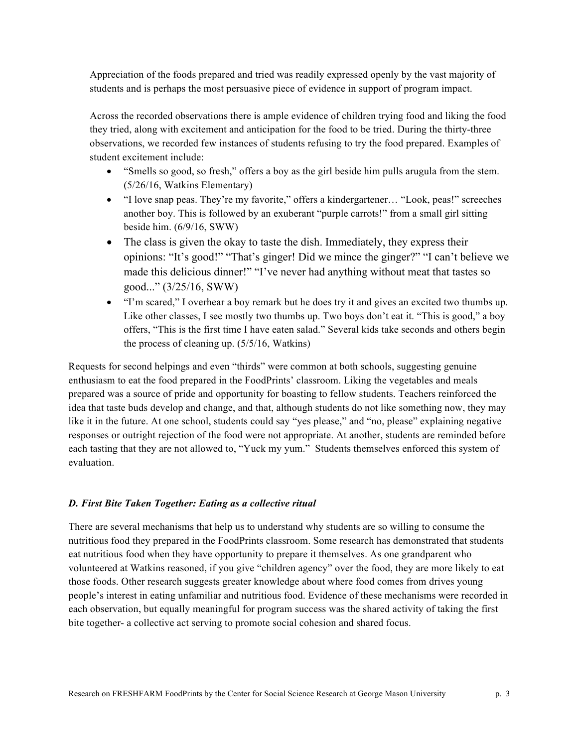Appreciation of the foods prepared and tried was readily expressed openly by the vast majority of students and is perhaps the most persuasive piece of evidence in support of program impact.

Across the recorded observations there is ample evidence of children trying food and liking the food they tried, along with excitement and anticipation for the food to be tried. During the thirty-three observations, we recorded few instances of students refusing to try the food prepared. Examples of student excitement include:

- "Smells so good, so fresh," offers a boy as the girl beside him pulls arugula from the stem. (5/26/16, Watkins Elementary)
- "I love snap peas. They're my favorite," offers a kindergartener... "Look, peas!" screeches another boy. This is followed by an exuberant "purple carrots!" from a small girl sitting beside him. (6/9/16, SWW)
- The class is given the okay to taste the dish. Immediately, they express their opinions: "It's good!" "That's ginger! Did we mince the ginger?" "I can't believe we made this delicious dinner!" "I've never had anything without meat that tastes so good..." (3/25/16, SWW)
- "I'm scared," I overhear a boy remark but he does try it and gives an excited two thumbs up. Like other classes, I see mostly two thumbs up. Two boys don't eat it. "This is good," a boy offers, "This is the first time I have eaten salad." Several kids take seconds and others begin the process of cleaning up. (5/5/16, Watkins)

Requests for second helpings and even "thirds" were common at both schools, suggesting genuine enthusiasm to eat the food prepared in the FoodPrints' classroom. Liking the vegetables and meals prepared was a source of pride and opportunity for boasting to fellow students. Teachers reinforced the idea that taste buds develop and change, and that, although students do not like something now, they may like it in the future. At one school, students could say "yes please," and "no, please" explaining negative responses or outright rejection of the food were not appropriate. At another, students are reminded before each tasting that they are not allowed to, "Yuck my yum." Students themselves enforced this system of evaluation.

# *D. First Bite Taken Together: Eating as a collective ritual*

There are several mechanisms that help us to understand why students are so willing to consume the nutritious food they prepared in the FoodPrints classroom. Some research has demonstrated that students eat nutritious food when they have opportunity to prepare it themselves. As one grandparent who volunteered at Watkins reasoned, if you give "children agency" over the food, they are more likely to eat those foods. Other research suggests greater knowledge about where food comes from drives young people's interest in eating unfamiliar and nutritious food. Evidence of these mechanisms were recorded in each observation, but equally meaningful for program success was the shared activity of taking the first bite together- a collective act serving to promote social cohesion and shared focus.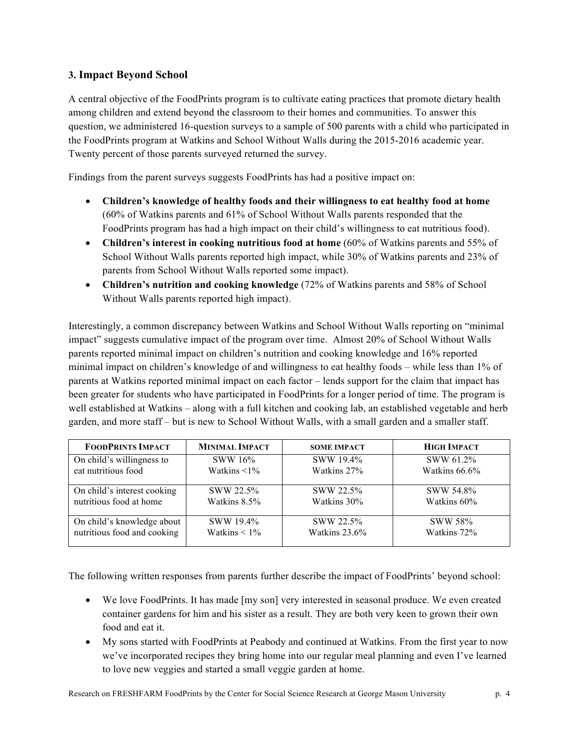# **3. Impact Beyond School**

A central objective of the FoodPrints program is to cultivate eating practices that promote dietary health among children and extend beyond the classroom to their homes and communities. To answer this question, we administered 16-question surveys to a sample of 500 parents with a child who participated in the FoodPrints program at Watkins and School Without Walls during the 2015-2016 academic year. Twenty percent of those parents surveyed returned the survey.

Findings from the parent surveys suggests FoodPrints has had a positive impact on:

- **Children's knowledge of healthy foods and their willingness to eat healthy food at home** (60% of Watkins parents and 61% of School Without Walls parents responded that the FoodPrints program has had a high impact on their child's willingness to eat nutritious food).
- **Children's interest in cooking nutritious food at home** (60% of Watkins parents and 55% of School Without Walls parents reported high impact, while 30% of Watkins parents and 23% of parents from School Without Walls reported some impact).
- **Children's nutrition and cooking knowledge** (72% of Watkins parents and 58% of School Without Walls parents reported high impact).

Interestingly, a common discrepancy between Watkins and School Without Walls reporting on "minimal impact" suggests cumulative impact of the program over time. Almost 20% of School Without Walls parents reported minimal impact on children's nutrition and cooking knowledge and 16% reported minimal impact on children's knowledge of and willingness to eat healthy foods – while less than 1% of parents at Watkins reported minimal impact on each factor – lends support for the claim that impact has been greater for students who have participated in FoodPrints for a longer period of time. The program is well established at Watkins – along with a full kitchen and cooking lab, an established vegetable and herb garden, and more staff – but is new to School Without Walls, with a small garden and a smaller staff.

| <b>FOODPRINTS IMPACT</b>    | <b>MINIMAL IMPACT</b> | <b>SOME IMPACT</b> | <b>HIGH IMPACT</b> |
|-----------------------------|-----------------------|--------------------|--------------------|
| On child's willingness to   | SWW 16%               | SWW 19.4%          | SWW 61.2%          |
| eat nutritious food         | Watkins $\leq 1\%$    | Watkins 27%        | Watkins 66.6%      |
| On child's interest cooking | SWW 22.5%             | SWW 22.5%          | SWW 54.8%          |
| nutritious food at home     | Watkins 8.5%          | Watkins 30%        | Watkins 60%        |
| On child's knowledge about  | SWW 19.4%             | SWW 22.5%          | <b>SWW 58%</b>     |
| nutritious food and cooking | Watkins $\leq 1\%$    | Watkins 23.6%      | Watkins 72%        |

The following written responses from parents further describe the impact of FoodPrints' beyond school:

- We love FoodPrints. It has made [my son] very interested in seasonal produce. We even created container gardens for him and his sister as a result. They are both very keen to grown their own food and eat it.
- My sons started with FoodPrints at Peabody and continued at Watkins. From the first year to now we've incorporated recipes they bring home into our regular meal planning and even I've learned to love new veggies and started a small veggie garden at home.